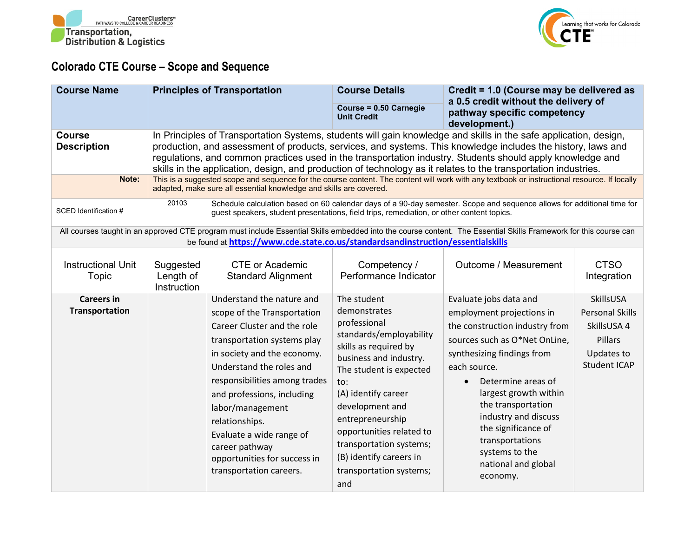



## **Colorado CTE Course – Scope and Sequence**

| <b>Course Name</b>                           |                                                                                                                                                                                                                                                                                                                                                                                                                                                                                                                                                                                                                                                                                          | <b>Principles of Transportation</b>                                                                                                                                                                                                                                                                                                                                                             | <b>Course Details</b><br>Course = 0.50 Carnegie<br><b>Unit Credit</b>                                                                                                                                                                                                                                                                         | Credit = 1.0 (Course may be delivered as<br>a 0.5 credit without the delivery of<br>pathway specific competency                                                                                                                                                                                                                                                               |                                                                                                    |
|----------------------------------------------|------------------------------------------------------------------------------------------------------------------------------------------------------------------------------------------------------------------------------------------------------------------------------------------------------------------------------------------------------------------------------------------------------------------------------------------------------------------------------------------------------------------------------------------------------------------------------------------------------------------------------------------------------------------------------------------|-------------------------------------------------------------------------------------------------------------------------------------------------------------------------------------------------------------------------------------------------------------------------------------------------------------------------------------------------------------------------------------------------|-----------------------------------------------------------------------------------------------------------------------------------------------------------------------------------------------------------------------------------------------------------------------------------------------------------------------------------------------|-------------------------------------------------------------------------------------------------------------------------------------------------------------------------------------------------------------------------------------------------------------------------------------------------------------------------------------------------------------------------------|----------------------------------------------------------------------------------------------------|
| <b>Course</b><br><b>Description</b><br>Note: | In Principles of Transportation Systems, students will gain knowledge and skills in the safe application, design,<br>production, and assessment of products, services, and systems. This knowledge includes the history, laws and<br>regulations, and common practices used in the transportation industry. Students should apply knowledge and<br>skills in the application, design, and production of technology as it relates to the transportation industries.<br>This is a suggested scope and sequence for the course content. The content will work with any textbook or instructional resource. If locally<br>adapted, make sure all essential knowledge and skills are covered. |                                                                                                                                                                                                                                                                                                                                                                                                 |                                                                                                                                                                                                                                                                                                                                               | development.)                                                                                                                                                                                                                                                                                                                                                                 |                                                                                                    |
| SCED Identification #                        | 20103                                                                                                                                                                                                                                                                                                                                                                                                                                                                                                                                                                                                                                                                                    | guest speakers, student presentations, field trips, remediation, or other content topics.                                                                                                                                                                                                                                                                                                       |                                                                                                                                                                                                                                                                                                                                               | Schedule calculation based on 60 calendar days of a 90-day semester. Scope and sequence allows for additional time for                                                                                                                                                                                                                                                        |                                                                                                    |
|                                              |                                                                                                                                                                                                                                                                                                                                                                                                                                                                                                                                                                                                                                                                                          | be found at https://www.cde.state.co.us/standardsandinstruction/essentialskills                                                                                                                                                                                                                                                                                                                 |                                                                                                                                                                                                                                                                                                                                               | All courses taught in an approved CTE program must include Essential Skills embedded into the course content. The Essential Skills Framework for this course can                                                                                                                                                                                                              |                                                                                                    |
| <b>Instructional Unit</b><br>Topic           | Suggested<br>Length of<br>Instruction                                                                                                                                                                                                                                                                                                                                                                                                                                                                                                                                                                                                                                                    | <b>CTE or Academic</b><br><b>Standard Alignment</b>                                                                                                                                                                                                                                                                                                                                             | Competency /<br>Performance Indicator                                                                                                                                                                                                                                                                                                         | Outcome / Measurement                                                                                                                                                                                                                                                                                                                                                         | <b>CTSO</b><br>Integration                                                                         |
| <b>Careers in</b><br><b>Transportation</b>   |                                                                                                                                                                                                                                                                                                                                                                                                                                                                                                                                                                                                                                                                                          | Understand the nature and<br>scope of the Transportation<br>Career Cluster and the role<br>transportation systems play<br>in society and the economy.<br>Understand the roles and<br>responsibilities among trades<br>and professions, including<br>labor/management<br>relationships.<br>Evaluate a wide range of<br>career pathway<br>opportunities for success in<br>transportation careers. | The student<br>demonstrates<br>professional<br>standards/employability<br>skills as required by<br>business and industry.<br>The student is expected<br>to:<br>(A) identify career<br>development and<br>entrepreneurship<br>opportunities related to<br>transportation systems;<br>(B) identify careers in<br>transportation systems;<br>and | Evaluate jobs data and<br>employment projections in<br>the construction industry from<br>sources such as O*Net OnLine,<br>synthesizing findings from<br>each source.<br>Determine areas of<br>$\bullet$<br>largest growth within<br>the transportation<br>industry and discuss<br>the significance of<br>transportations<br>systems to the<br>national and global<br>economy. | SkillsUSA<br><b>Personal Skills</b><br>SkillsUSA 4<br>Pillars<br>Updates to<br><b>Student ICAP</b> |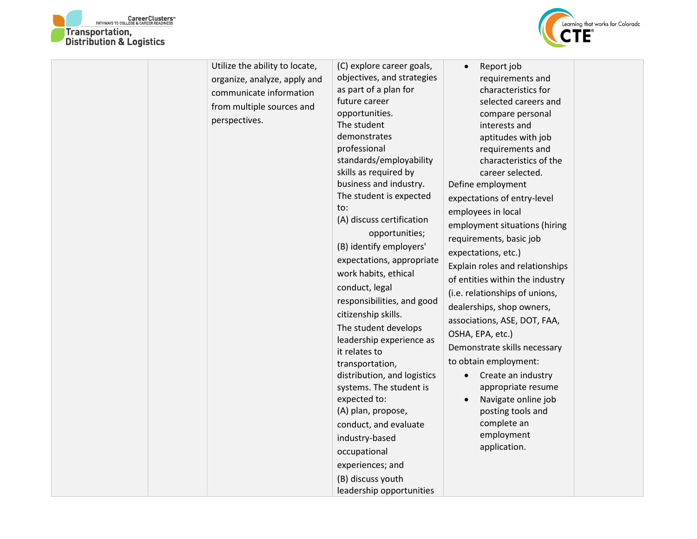



| Utilize the ability to locate,<br>organize, analyze, apply and<br>communicate information<br>from multiple sources and<br>perspectives. | (C) explore career goals,<br>objectives, and strategies<br>as part of a plan for<br>future career<br>opportunities.<br>The student<br>demonstrates<br>professional<br>standards/employability<br>skills as required by<br>business and industry.<br>The student is expected<br>to:<br>(A) discuss certification<br>opportunities;<br>(B) identify employers'<br>expectations, appropriate<br>work habits, ethical<br>conduct, legal<br>responsibilities, and good<br>citizenship skills.<br>The student develops<br>leadership experience as<br>it relates to<br>transportation,<br>distribution, and logistics<br>systems. The student is<br>expected to:<br>(A) plan, propose,<br>conduct, and evaluate<br>industry-based<br>occupational<br>experiences; and<br>(B) discuss youth<br>leadership opportunities | Report job<br>requirements and<br>characteristics for<br>selected careers and<br>compare personal<br>interests and<br>aptitudes with job<br>requirements and<br>characteristics of the<br>career selected.<br>Define employment<br>expectations of entry-level<br>employees in local<br>employment situations (hiring<br>requirements, basic job<br>expectations, etc.)<br>Explain roles and relationships<br>of entities within the industry<br>(i.e. relationships of unions,<br>dealerships, shop owners,<br>associations, ASE, DOT, FAA,<br>OSHA, EPA, etc.)<br>Demonstrate skills necessary<br>to obtain employment:<br>Create an industry<br>$\bullet$<br>appropriate resume<br>Navigate online job<br>$\bullet$<br>posting tools and<br>complete an<br>employment<br>application. |  |
|-----------------------------------------------------------------------------------------------------------------------------------------|------------------------------------------------------------------------------------------------------------------------------------------------------------------------------------------------------------------------------------------------------------------------------------------------------------------------------------------------------------------------------------------------------------------------------------------------------------------------------------------------------------------------------------------------------------------------------------------------------------------------------------------------------------------------------------------------------------------------------------------------------------------------------------------------------------------|------------------------------------------------------------------------------------------------------------------------------------------------------------------------------------------------------------------------------------------------------------------------------------------------------------------------------------------------------------------------------------------------------------------------------------------------------------------------------------------------------------------------------------------------------------------------------------------------------------------------------------------------------------------------------------------------------------------------------------------------------------------------------------------|--|
|-----------------------------------------------------------------------------------------------------------------------------------------|------------------------------------------------------------------------------------------------------------------------------------------------------------------------------------------------------------------------------------------------------------------------------------------------------------------------------------------------------------------------------------------------------------------------------------------------------------------------------------------------------------------------------------------------------------------------------------------------------------------------------------------------------------------------------------------------------------------------------------------------------------------------------------------------------------------|------------------------------------------------------------------------------------------------------------------------------------------------------------------------------------------------------------------------------------------------------------------------------------------------------------------------------------------------------------------------------------------------------------------------------------------------------------------------------------------------------------------------------------------------------------------------------------------------------------------------------------------------------------------------------------------------------------------------------------------------------------------------------------------|--|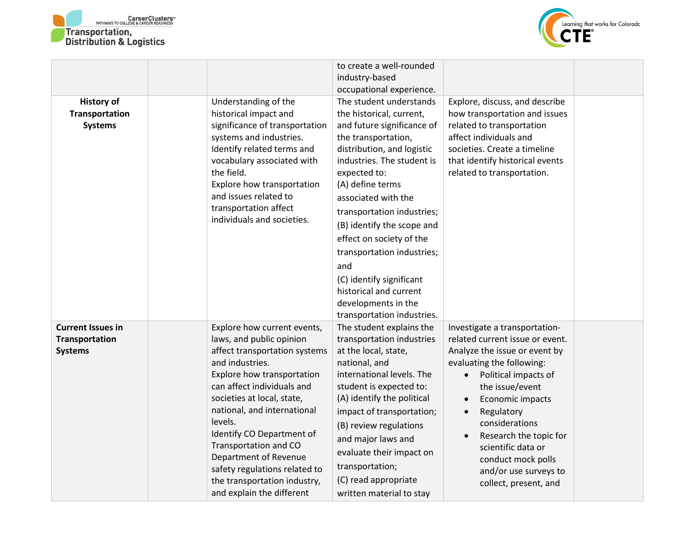



|                          |                                                  | to create a well-rounded                   |                                                               |  |
|--------------------------|--------------------------------------------------|--------------------------------------------|---------------------------------------------------------------|--|
|                          |                                                  | industry-based                             |                                                               |  |
|                          |                                                  | occupational experience.                   |                                                               |  |
| <b>History of</b>        | Understanding of the                             | The student understands                    | Explore, discuss, and describe                                |  |
| Transportation           | historical impact and                            | the historical, current,                   | how transportation and issues                                 |  |
| <b>Systems</b>           | significance of transportation                   | and future significance of                 | related to transportation                                     |  |
|                          | systems and industries.                          | the transportation,                        | affect individuals and                                        |  |
|                          | Identify related terms and                       | distribution, and logistic                 | societies. Create a timeline                                  |  |
|                          | vocabulary associated with<br>the field.         | industries. The student is<br>expected to: | that identify historical events<br>related to transportation. |  |
|                          | Explore how transportation                       | (A) define terms                           |                                                               |  |
|                          | and issues related to                            | associated with the                        |                                                               |  |
|                          | transportation affect                            | transportation industries;                 |                                                               |  |
|                          | individuals and societies.                       | (B) identify the scope and                 |                                                               |  |
|                          |                                                  | effect on society of the                   |                                                               |  |
|                          |                                                  | transportation industries;                 |                                                               |  |
|                          |                                                  | and                                        |                                                               |  |
|                          |                                                  | (C) identify significant                   |                                                               |  |
|                          |                                                  | historical and current                     |                                                               |  |
|                          |                                                  | developments in the                        |                                                               |  |
|                          |                                                  | transportation industries.                 |                                                               |  |
| <b>Current Issues in</b> | Explore how current events,                      | The student explains the                   | Investigate a transportation-                                 |  |
| <b>Transportation</b>    | laws, and public opinion                         | transportation industries                  | related current issue or event.                               |  |
| <b>Systems</b>           | affect transportation systems<br>and industries. | at the local, state,<br>national, and      | Analyze the issue or event by<br>evaluating the following:    |  |
|                          | Explore how transportation                       | international levels. The                  | Political impacts of                                          |  |
|                          | can affect individuals and                       | student is expected to:                    | the issue/event                                               |  |
|                          | societies at local, state,                       | (A) identify the political                 | Economic impacts                                              |  |
|                          | national, and international                      | impact of transportation;                  | Regulatory<br>$\bullet$                                       |  |
|                          | levels.                                          | (B) review regulations                     | considerations                                                |  |
|                          | Identify CO Department of                        | and major laws and                         | Research the topic for                                        |  |
|                          | Transportation and CO                            | evaluate their impact on                   | scientific data or                                            |  |
|                          | Department of Revenue                            |                                            | conduct mock polls                                            |  |
|                          | safety regulations related to                    | transportation;                            | and/or use surveys to                                         |  |
|                          | the transportation industry,                     | (C) read appropriate                       | collect, present, and                                         |  |
|                          | and explain the different                        | written material to stay                   |                                                               |  |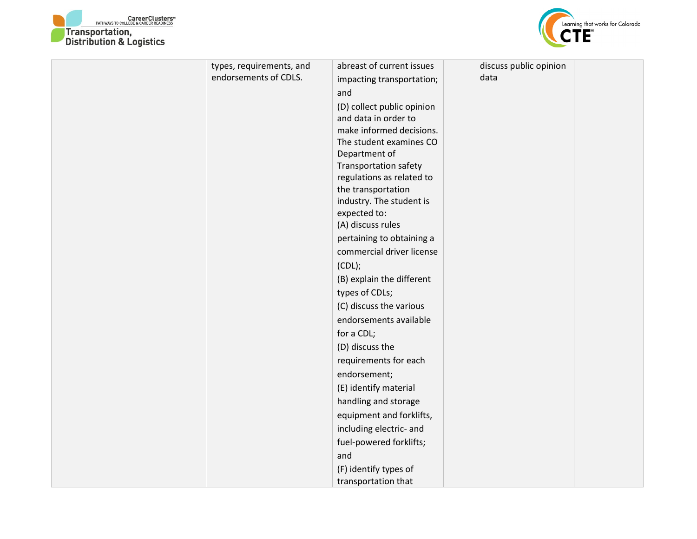



| types, requirements, and | abreast of current issues                      | discuss public opinion |  |
|--------------------------|------------------------------------------------|------------------------|--|
| endorsements of CDLS.    | impacting transportation;                      | data                   |  |
|                          | and                                            |                        |  |
|                          | (D) collect public opinion                     |                        |  |
|                          | and data in order to                           |                        |  |
|                          | make informed decisions.                       |                        |  |
|                          | The student examines CO                        |                        |  |
|                          | Department of                                  |                        |  |
|                          | <b>Transportation safety</b>                   |                        |  |
|                          | regulations as related to                      |                        |  |
|                          | the transportation<br>industry. The student is |                        |  |
|                          | expected to:                                   |                        |  |
|                          | (A) discuss rules                              |                        |  |
|                          | pertaining to obtaining a                      |                        |  |
|                          | commercial driver license                      |                        |  |
|                          | (CDL);                                         |                        |  |
|                          | (B) explain the different                      |                        |  |
|                          |                                                |                        |  |
|                          | types of CDLs;                                 |                        |  |
|                          | (C) discuss the various                        |                        |  |
|                          | endorsements available                         |                        |  |
|                          | for a CDL;                                     |                        |  |
|                          | (D) discuss the                                |                        |  |
|                          | requirements for each                          |                        |  |
|                          | endorsement;                                   |                        |  |
|                          | (E) identify material                          |                        |  |
|                          | handling and storage                           |                        |  |
|                          | equipment and forklifts,                       |                        |  |
|                          | including electric- and                        |                        |  |
|                          | fuel-powered forklifts;                        |                        |  |
|                          | and                                            |                        |  |
|                          | (F) identify types of                          |                        |  |
|                          | transportation that                            |                        |  |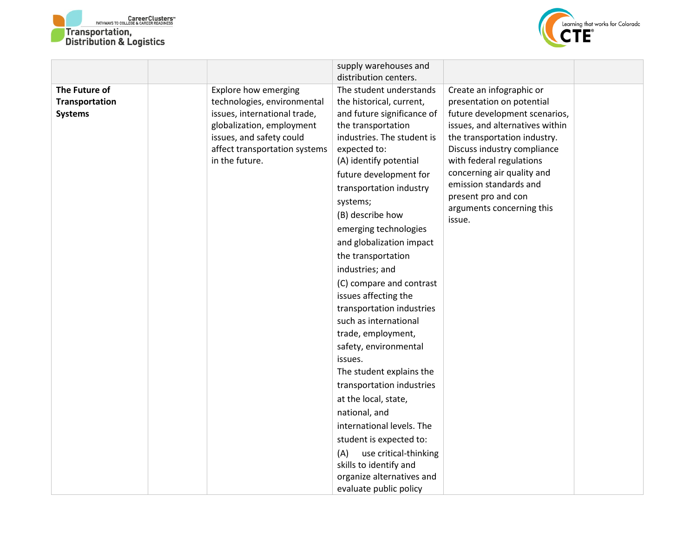



|                                                   |                                                                                                                                                                                                 | supply warehouses and<br>distribution centers.                                                                                                                                                                                                                                                                                                                      |                                                                                                                                                                                                                                                                                                                                            |  |
|---------------------------------------------------|-------------------------------------------------------------------------------------------------------------------------------------------------------------------------------------------------|---------------------------------------------------------------------------------------------------------------------------------------------------------------------------------------------------------------------------------------------------------------------------------------------------------------------------------------------------------------------|--------------------------------------------------------------------------------------------------------------------------------------------------------------------------------------------------------------------------------------------------------------------------------------------------------------------------------------------|--|
| The Future of<br>Transportation<br><b>Systems</b> | Explore how emerging<br>technologies, environmental<br>issues, international trade,<br>globalization, employment<br>issues, and safety could<br>affect transportation systems<br>in the future. | The student understands<br>the historical, current,<br>and future significance of<br>the transportation<br>industries. The student is<br>expected to:<br>(A) identify potential<br>future development for<br>transportation industry<br>systems;<br>(B) describe how<br>emerging technologies<br>and globalization impact                                           | Create an infographic or<br>presentation on potential<br>future development scenarios,<br>issues, and alternatives within<br>the transportation industry.<br>Discuss industry compliance<br>with federal regulations<br>concerning air quality and<br>emission standards and<br>present pro and con<br>arguments concerning this<br>issue. |  |
|                                                   |                                                                                                                                                                                                 | the transportation<br>industries; and<br>(C) compare and contrast<br>issues affecting the<br>transportation industries<br>such as international<br>trade, employment,<br>safety, environmental<br>issues.<br>The student explains the<br>transportation industries<br>at the local, state,<br>national, and<br>international levels. The<br>student is expected to: |                                                                                                                                                                                                                                                                                                                                            |  |
|                                                   |                                                                                                                                                                                                 | use critical-thinking<br>(A)<br>skills to identify and<br>organize alternatives and<br>evaluate public policy                                                                                                                                                                                                                                                       |                                                                                                                                                                                                                                                                                                                                            |  |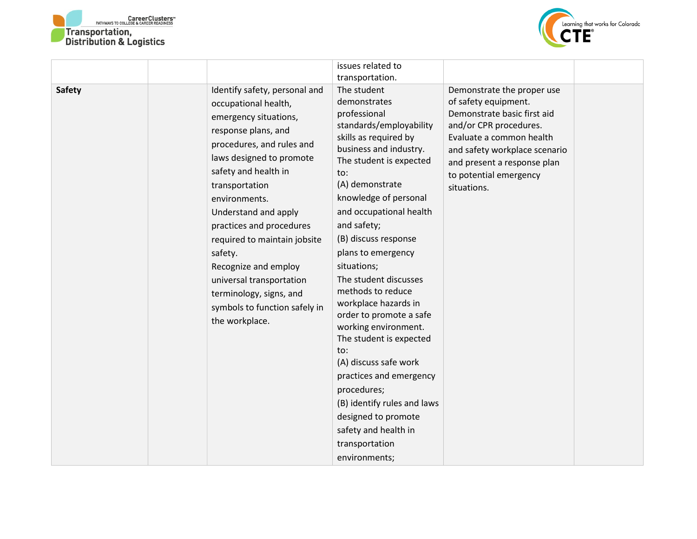



|               |                                                                                                                                                                                                                                                                                                                                                                                                                                                            | issues related to<br>transportation.                                                                                                                                                                                                                                                                                                                                                                                                                                                                                                                                                                                                                          |                                                                                                                                                                                                                                                  |  |
|---------------|------------------------------------------------------------------------------------------------------------------------------------------------------------------------------------------------------------------------------------------------------------------------------------------------------------------------------------------------------------------------------------------------------------------------------------------------------------|---------------------------------------------------------------------------------------------------------------------------------------------------------------------------------------------------------------------------------------------------------------------------------------------------------------------------------------------------------------------------------------------------------------------------------------------------------------------------------------------------------------------------------------------------------------------------------------------------------------------------------------------------------------|--------------------------------------------------------------------------------------------------------------------------------------------------------------------------------------------------------------------------------------------------|--|
| <b>Safety</b> | Identify safety, personal and<br>occupational health,<br>emergency situations,<br>response plans, and<br>procedures, and rules and<br>laws designed to promote<br>safety and health in<br>transportation<br>environments.<br>Understand and apply<br>practices and procedures<br>required to maintain jobsite<br>safety.<br>Recognize and employ<br>universal transportation<br>terminology, signs, and<br>symbols to function safely in<br>the workplace. | The student<br>demonstrates<br>professional<br>standards/employability<br>skills as required by<br>business and industry.<br>The student is expected<br>to:<br>(A) demonstrate<br>knowledge of personal<br>and occupational health<br>and safety;<br>(B) discuss response<br>plans to emergency<br>situations;<br>The student discusses<br>methods to reduce<br>workplace hazards in<br>order to promote a safe<br>working environment.<br>The student is expected<br>to:<br>(A) discuss safe work<br>practices and emergency<br>procedures;<br>(B) identify rules and laws<br>designed to promote<br>safety and health in<br>transportation<br>environments; | Demonstrate the proper use<br>of safety equipment.<br>Demonstrate basic first aid<br>and/or CPR procedures.<br>Evaluate a common health<br>and safety workplace scenario<br>and present a response plan<br>to potential emergency<br>situations. |  |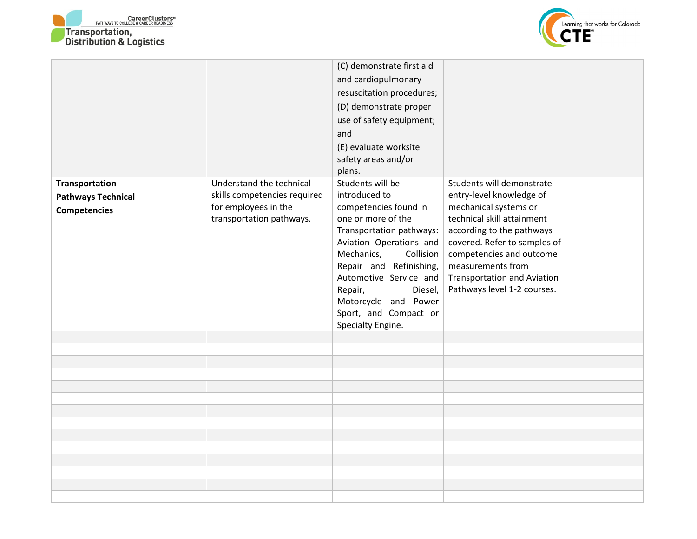



|                           |                                                  | (C) demonstrate first aid                   |                                                     |  |
|---------------------------|--------------------------------------------------|---------------------------------------------|-----------------------------------------------------|--|
|                           |                                                  | and cardiopulmonary                         |                                                     |  |
|                           |                                                  | resuscitation procedures;                   |                                                     |  |
|                           |                                                  | (D) demonstrate proper                      |                                                     |  |
|                           |                                                  | use of safety equipment;                    |                                                     |  |
|                           |                                                  | and                                         |                                                     |  |
|                           |                                                  | (E) evaluate worksite                       |                                                     |  |
|                           |                                                  | safety areas and/or                         |                                                     |  |
|                           |                                                  | plans.                                      |                                                     |  |
| Transportation            | Understand the technical                         | Students will be                            | Students will demonstrate                           |  |
| <b>Pathways Technical</b> | skills competencies required                     | introduced to                               | entry-level knowledge of                            |  |
| <b>Competencies</b>       | for employees in the<br>transportation pathways. | competencies found in<br>one or more of the | mechanical systems or<br>technical skill attainment |  |
|                           |                                                  | Transportation pathways:                    | according to the pathways                           |  |
|                           |                                                  | Aviation Operations and                     | covered. Refer to samples of                        |  |
|                           |                                                  | Mechanics,<br>Collision                     | competencies and outcome                            |  |
|                           |                                                  | Repair and Refinishing,                     | measurements from                                   |  |
|                           |                                                  | Automotive Service and                      | <b>Transportation and Aviation</b>                  |  |
|                           |                                                  | Repair,<br>Diesel,                          | Pathways level 1-2 courses.                         |  |
|                           |                                                  | Motorcycle and Power                        |                                                     |  |
|                           |                                                  | Sport, and Compact or                       |                                                     |  |
|                           |                                                  | Specialty Engine.                           |                                                     |  |
|                           |                                                  |                                             |                                                     |  |
|                           |                                                  |                                             |                                                     |  |
|                           |                                                  |                                             |                                                     |  |
|                           |                                                  |                                             |                                                     |  |
|                           |                                                  |                                             |                                                     |  |
|                           |                                                  |                                             |                                                     |  |
|                           |                                                  |                                             |                                                     |  |
|                           |                                                  |                                             |                                                     |  |
|                           |                                                  |                                             |                                                     |  |
|                           |                                                  |                                             |                                                     |  |
|                           |                                                  |                                             |                                                     |  |
|                           |                                                  |                                             |                                                     |  |
|                           |                                                  |                                             |                                                     |  |